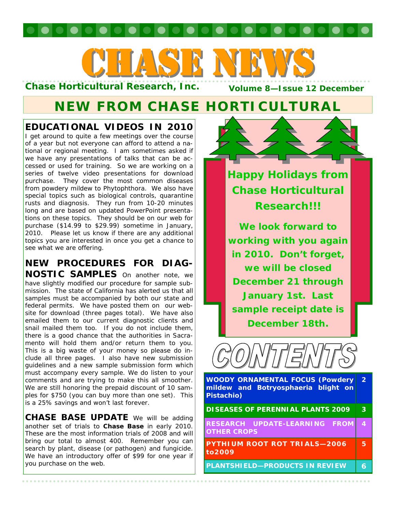# CHASE NEWS CHASE NEWS

**Chase Horticultural Research, Inc.** 

# **NEW FROM CHASE HORTICULTURAL**

## **EDUCATIONAL VIDEOS IN 2010**

I get around to quite a few meetings over the course of a year but not everyone can afford to attend a national or regional meeting. I am sometimes asked if we have any presentations of talks that can be accessed or used for training. So we are working on a series of twelve video presentations for download purchase. They cover the most common diseases from powdery mildew to Phytophthora. We also have special topics such as biological controls, quarantine rusts and diagnosis. They run from 10-20 minutes long and are based on updated PowerPoint presentations on these topics. They should be on our web for purchase (\$14.99 to \$29.99) sometime in January, 2010. Please let us know if there are any additional topics you are interested in once you get a chance to see what we are offering.

#### **NEW PROCEDURES FOR DIAG-NOSTIC SAMPLES** On another note, we

have slightly modified our procedure for sample submission. The state of California has alerted us that all samples must be accompanied by both our state and federal permits. We have posted them on our website for download (three pages total). We have also emailed them to our current diagnostic clients and snail mailed them too. If you do not include them, there is a good chance that the authorities in Sacramento will hold them and/or return them to you. This is a big waste of your money so please do include all three pages. I also have new submission guidelines and a new sample submission form which must accompany every sample. We do listen to your comments and are trying to make this all smoother. We are still honoring the prepaid discount of 10 samples for \$750 (you can buy more than one set). This is a 25% savings and won't last forever.

**CHASE BASE UPDATE** We will be adding another set of trials to **Chase Base** in early 2010. These are the most information trials of 2008 and will bring our total to almost 400. Remember you can search by plant, disease (or pathogen) and fungicide. We have an introductory offer of \$99 for one year if you purchase on the web.



**Happy Holidays from Chase Horticultural Research!!!** 

**We look forward to working with you again in 2010. Don't forget, we will be closed December 21 through January 1st. Last sample receipt date is December 18th.** 



**WOODY ORNAMENTAL FOCUS (Powdery mildew and Botryosphaeria blight on Pistachio) 2** 

**DISEASES OF PERENNIAL PLANTS 2009 3** 

**RESEARCH UPDATE-LEARNING FROM OTHER CROPS 4** 

**PYTHIUM ROOT ROT TRIALS—2006 to2009 5** 

**PLANTSHIELD-PRODUCTS IN REVIEW 6**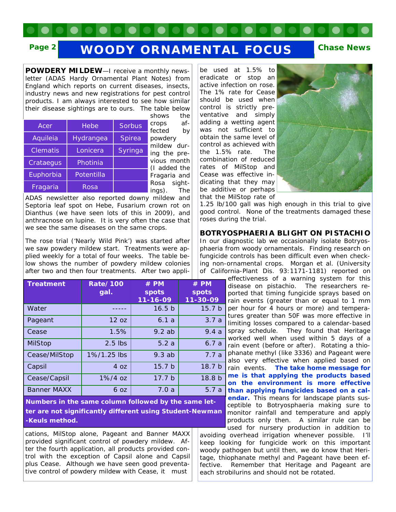# Page 2 **WOODY ORNAMENTAL FOCUS** Chase News

**POWDERY MILDEW**—I receive a monthly newsletter (ADAS Hardy Ornamental Plant Notes) from England which reports on current diseases, insects, industry news and new registrations for pest control products. I am always interested to see how similar their disease sightings are to ours. The table below

|                 |            |               | 31 IU VV 3                |
|-----------------|------------|---------------|---------------------------|
| Acer            | Hebe       | <b>Sorbus</b> | crops<br>fected           |
| Aquileia        | Hydrangea  | Spirea        | powdery                   |
| <b>Clematis</b> | Lonicera   | Syringa       | mildew o<br>ing the $\mu$ |
| Crataegus       | Photinia   |               | vious mo<br>(I added      |
| Euphorbia       | Potentilla |               | Fragaria                  |
| Fragaria        | Rosa       |               | sio<br>Rosa<br>(znni      |

shows the afby durpreonth the *Fragaria* and *Rosa* sightings). The

ADAS newsletter also reported downy mildew and Septoria leaf spot on *Hebe*, Fusarium crown rot on *Dianthus* (we have seen lots of this in 2009), and anthracnose on lupine. It is very often the case that we see the same diseases on the same crops.

The rose trial ('Nearly Wild Pink') was started after we saw powdery mildew start. Treatments were applied weekly for a total of four weeks. The table below shows the number of powdery mildew colonies after two and then four treatments. After two appli-

| <b>Treatment</b>   | <b>Rate/100</b><br>gal. | $#$ PM<br><b>spots</b><br>$11 - 16 - 09$ | $#$ PM<br>spots<br>11-30-09 |
|--------------------|-------------------------|------------------------------------------|-----------------------------|
| Water              |                         | 16.5 <sub>b</sub>                        | 15.7 <sub>b</sub>           |
| Pageant            | 12 oz                   | 6.1a                                     | 3.7a                        |
| Cease              | 1.5%                    | 9.2ab                                    | 9.4a                        |
| <b>MilStop</b>     | $2.5$ lbs               | 5.2a                                     | 6.7a                        |
| Cease/MilStop      | 1%/1.25 lbs             | 9.3ab                                    | 7.7a                        |
| Capsil             | 4 oz                    | 15.7 <sub>b</sub>                        | 18.7 <sub>b</sub>           |
| Cease/Capsil       | $1\%/4$ oz              | 17.7 <sub>b</sub>                        | 18.8 <sub>b</sub>           |
| <b>Banner MAXX</b> | 6 <sub>oz</sub>         | 7.0a                                     | 5.7a                        |

**Numbers in the same column followed by the same letter are not significantly different using Student-Newman -Keuls method.** 

cations, MilStop alone, Pageant and Banner MAXX provided significant control of powdery mildew. After the fourth application, all products provided control with the exception of Capsil alone and Capsil plus Cease. Although we have seen good preventative control of powdery mildew with Cease, it must

be used at 1.5% to eradicate or stop an active infection on rose. The 1% rate for Cease should be used when control is strictly preventative and simply adding a wetting agent was not sufficient to obtain the same level of control as achieved with the 1.5% rate. The combination of reduced rates of MilStop and Cease was effective indicating that they may be additive or perhaps that the MilStop rate of



1.25 lb/100 gall was high enough in this trial to give good control. None of the treatments damaged these roses during the trial.

**BOTRYOSPHAERIA BLIGHT ON PISTACHIO** 

In our diagnostic lab we occasionally isolate Botryosphaeria from woody ornamentals. Finding research on fungicide controls has been difficult even when checking non-ornamental crops. Morgan et al. (University of California-Plant Dis. 93:1171-1181) reported on

effectiveness of a warning system for this disease on pistachio. The researchers reported that timing fungicide sprays based on rain events (greater than or equal to 1 mm per hour for 4 hours or more) and temperatures greater than 50F was more effective in limiting losses compared to a calendar-based spray schedule. They found that Heritage worked well when used within 5 days of a rain event (before or after). Rotating a thiophanate methyl (like 3336) and Pageant were also very effective when applied based on rain events. **The take home message for me is that applying the products based on the environment is more effective than applying fungicides based on a calendar.** This means for landscape plants susceptible to Botryosphaeria making sure to monitor rainfall and temperature and apply products only then. A similar rule can be

used for nursery production in addition to avoiding overhead irrigation whenever possible. I'll keep looking for fungicide work on this important woody pathogen but until then, we do know that Heritage, thiophanate methyl and Pageant have been effective. Remember that Heritage and Pageant are each strobilurins and should not be rotated.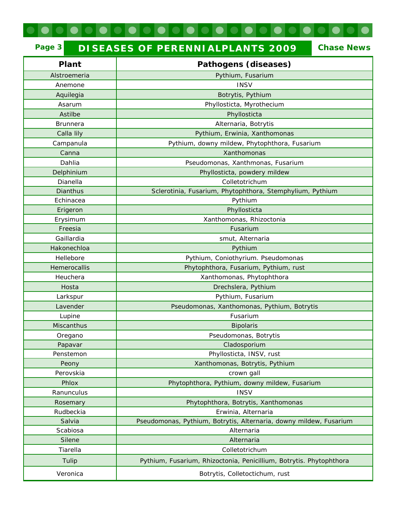# **Page 3 DISEASES OF PERENNIALPLANTS 2009 Chase News**

 $\bullet$ 

| Plant             | Pathogens (diseases)                                                |  |  |  |
|-------------------|---------------------------------------------------------------------|--|--|--|
| Alstroemeria      | Pythium, Fusarium                                                   |  |  |  |
| Anemone           | <b>INSV</b>                                                         |  |  |  |
| Aquilegia         | Botrytis, Pythium                                                   |  |  |  |
| Asarum            | Phyllosticta, Myrothecium                                           |  |  |  |
| Astilbe           | Phyllosticta                                                        |  |  |  |
| <b>Brunnera</b>   | Alternaria, Botrytis                                                |  |  |  |
| Calla lily        | Pythium, Erwinia, Xanthomonas                                       |  |  |  |
| Campanula         | Pythium, downy mildew, Phytophthora, Fusarium                       |  |  |  |
| Canna             | Xanthomonas                                                         |  |  |  |
| Dahlia            | Pseudomonas, Xanthmonas, Fusarium                                   |  |  |  |
| Delphinium        | Phyllosticta, powdery mildew                                        |  |  |  |
| Dianella          | Colletotrichum                                                      |  |  |  |
| <b>Dianthus</b>   | Sclerotinia, Fusarium, Phytophthora, Stemphylium, Pythium           |  |  |  |
| Echinacea         | Pythium                                                             |  |  |  |
| Erigeron          | Phyllosticta                                                        |  |  |  |
| Erysimum          | Xanthomonas, Rhizoctonia                                            |  |  |  |
| Freesia           | Fusarium                                                            |  |  |  |
| Gaillardia        | smut, Alternaria                                                    |  |  |  |
| Hakonechloa       | Pythium                                                             |  |  |  |
| Hellebore         | Pythium, Coniothyrium. Pseudomonas                                  |  |  |  |
| Hemerocallis      | Phytophthora, Fusarium, Pythium, rust                               |  |  |  |
| Heuchera          | Xanthomonas, Phytophthora                                           |  |  |  |
| Hosta             | Drechslera, Pythium                                                 |  |  |  |
| Larkspur          | Pythium, Fusarium                                                   |  |  |  |
| Lavender          | Pseudomonas, Xanthomonas, Pythium, Botrytis                         |  |  |  |
| Lupine            | Fusarium                                                            |  |  |  |
| <b>Miscanthus</b> | <b>Bipolaris</b>                                                    |  |  |  |
| Oregano           | Pseudomonas, Botrytis                                               |  |  |  |
| Papavar           | Cladosporium                                                        |  |  |  |
| Penstemon         | Phyllosticta, INSV, rust                                            |  |  |  |
| Peony             | Xanthomonas, Botrytis, Pythium                                      |  |  |  |
| Perovskia         | crown gall                                                          |  |  |  |
| Phlox             | Phytophthora, Pythium, downy mildew, Fusarium                       |  |  |  |
| Ranunculus        | <b>INSV</b>                                                         |  |  |  |
| Rosemary          | Phytophthora, Botrytis, Xanthomonas                                 |  |  |  |
| Rudbeckia         | Erwinia, Alternaria                                                 |  |  |  |
| Salvia            | Pseudomonas, Pythium, Botrytis, Alternaria, downy mildew, Fusarium  |  |  |  |
| Scabiosa          | Alternaria                                                          |  |  |  |
| Silene            | Alternaria                                                          |  |  |  |
| Tiarella          | Colletotrichum                                                      |  |  |  |
| Tulip             | Pythium, Fusarium, Rhizoctonia, Penicillium, Botrytis. Phytophthora |  |  |  |
| Veronica          | Botrytis, Colletoctichum, rust                                      |  |  |  |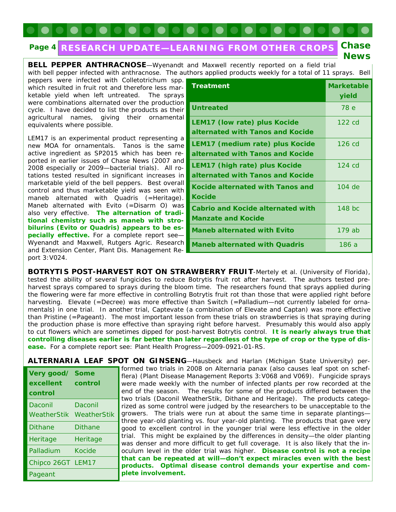#### **RESEARCH UPDATE—LEARNING FROM OTHER CROPS Chase Page 4**

**BELL PEPPER ANTHRACNOSE**—Wyenandt and Maxwell recently reported on a field trial with bell pepper infected with anthracnose. The authors applied products weekly for a total of 11 sprays. Bell

peppers were infected with *Colletotrichum* spp. which resulted in fruit rot and therefore less marketable yield when left untreated. The sprays were combinations alternated over the production cycle. I have decided to list the products as their agricultural names, giving their ornamental equivalents where possible.

LEM17 is an experimental product representing a new MOA for ornamentals. Tanos is the same active ingredient as SP2015 which has been reported in earlier issues of Chase News (2007 and 2008 especially or 2009—bacterial trials). All rotations tested resulted in significant increases in marketable yield of the bell peppers. Best overall control and thus marketable yield was seen with maneb alternated with Quadris (=Heritage). Maneb alternated with Evito (=Disarm O) was also very effective. **The alternation of traditional chemistry such as maneb with strobilurins (Evito or Quadris) appears to be especially effective.** For a complete report see— Wyenandt and Maxwell, Rutgers Agric. Research and Extension Center, Plant Dis. Management Report 3:V024.

**control** 

Daconil

Pageant

| <b>Treatment</b>                                                         | <b>Marketable</b><br>yield |
|--------------------------------------------------------------------------|----------------------------|
| <b>Untreated</b>                                                         | 78 e                       |
| <b>LEM17 (low rate) plus Kocide</b><br>alternated with Tanos and Kocide  | $122 \text{ cd}$           |
| LEM17 (medium rate) plus Kocide<br>alternated with Tanos and Kocide      | $126$ cd                   |
| <b>LEM17 (high rate) plus Kocide</b><br>alternated with Tanos and Kocide | $124 \text{ cd}$           |
| Kocide alternated with Tanos and<br><b>Kocide</b>                        | 104 de                     |
| <b>Cabrio and Kocide alternated with</b><br><b>Manzate and Kocide</b>    | $148$ bc                   |
| <b>Maneb alternated with Evito</b>                                       | 179 ab                     |
| <b>Maneb alternated with Quadris</b>                                     | 186 a                      |

**News** 

**BOTRYTIS POST-HARVEST ROT ON STRAWBERRY FRUIT-Mertely et al. (University of Florida),** tested the ability of several fungicides to reduce Botrytis fruit rot after harvest. The authors tested preharvest sprays compared to sprays during the bloom time. The researchers found that sprays applied during the flowering were far more effective in controlling Botrytis fruit rot than those that were applied right before harvesting. Elevate (=Decree) was more effective than Switch (=Palladium-not currently labeled for ornamentals) in one trial. In another trial, Captevate (a combination of Elevate and Captan) was more effective than Pristine (=Pageant). The most important lesson from these trials on strawberries is that spraying during the production phase is more effective than spraying right before harvest. Presumably this would also apply to cut flowers which are sometimes dipped for post-harvest Botrytis control. **It is nearly always true that controlling diseases earlier is far better than later regardless of the type of crop or the type of disease.** For a complete report see: Plant Health Progress—2009-0921-01-RS.

**ALTERNARIA LEAF SPOT ON GINSENG**—Hausbeck and Harlan (Michigan State University) performed two trials in 2008 on *Alternaria panax* (also causes leaf spot on schefflera) (Plant Disease Management Reports 3:V068 and V069). Fungicide sprays were made weekly with the number of infected plants per row recorded at the end of the season. The results for some of the products differed between the two trials (Daconil WeatherStik, Dithane and Heritage). The products categorized as some control were judged by the researchers to be unacceptable to the growers. The trials were run at about the same time in separate plantings three year-old planting vs. four year-old planting. The products that gave very good to excellent control in the younger trial were less effective in the older trial. This might be explained by the differences in density—the older planting was denser and more difficult to get full coverage. It is also likely that the inoculum level in the older trial was higher. **Disease control is not a recipe that can be repeated at will—don't expect miracles even with the best products. Optimal disease control demands your expertise and complete involvement. Very good/ Some excellent control**  WeatherStik WeatherStik Daconil Dithane Dithane Heritage Heritage Palladium Kocide Chipco 26GT LEM17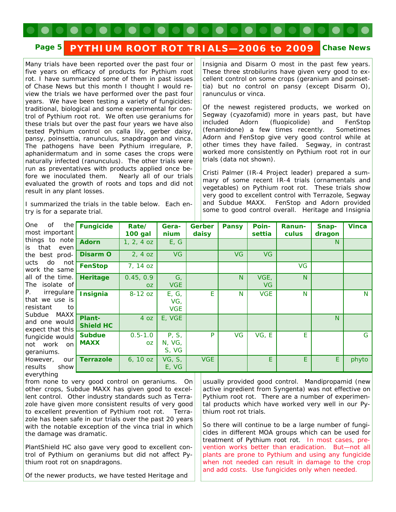## Page 5 PYTHIUM ROOT ROT TRIALS-2006 to 2009 Chase News

Many trials have been reported over the past four or five years on efficacy of products for Pythium root rot. I have summarized some of them in past issues of Chase News but this month I thought I would review the trials we have performed over the past four years. We have been testing a variety of fungicides: traditional, biological and some experimental for control of Pythium root rot. We often use geraniums for these trials but over the past four years we have also tested Pythium control on calla lily, gerber daisy, pansy, poinsettia, ranunculus, snapdragon and vinca. The pathogens have been *Pythium irregulare, P. aphanidermatum* and in some cases the crops were naturally infected (ranunculus). The other trials were run as preventatives with products applied once before we inoculated them. Nearly all of our trials evaluated the growth of roots and tops and did not result in any plant losses.

I summarized the trials in the table below. Each entry is for a separate trial.

Insignia and Disarm O most in the past few years. These three strobilurins have given very good to excellent control on some crops (geranium and poinsettia) but no control on pansy (except Disarm O), ranunculus or vinca.

Of the newest registered products, we worked on Segway (cyazofamid) more in years past, but have included Adorn (fluopicolide) and FenStop (fenamidone) a few times recently. Sometimes Adorn and FenStop give very good control while at other times they have failed. Segway, in contrast worked more consistently on Pythium root rot in our trials (data not shown).

Cristi Palmer (IR-4 Project leader) prepared a summary of some recent IR-4 trials (ornamentals and vegetables) on Pythium root rot. These trials show very good to excellent control with Terrazole, Segway and Subdue MAXX. FenStop and Adorn provided some to good control overall. Heritage and Insignia

| One of the       | Fun          |
|------------------|--------------|
| most important   |              |
| things to note   | <b>Ado</b>   |
| is that even     |              |
| the best prod-   | <b>Disa</b>  |
| ucts do not      | Fen!         |
| work the same    |              |
| all of the time. | <b>Heri</b>  |
| The isolate of   |              |
| P. irregulare    | Insi         |
| that we use is   |              |
| resistant to     |              |
| Subdue MAXX      | Plan         |
| and one would    | <b>Shie</b>  |
| expect that this |              |
| fungicide would  | <b>Sub</b>   |
| not work on      | <b>MAX</b>   |
| geraniums.       |              |
| However, our     | $\vert$ Terr |
| results show     |              |
| everything       |              |

| the<br>ant         | <b>Fungicide</b>             | Rate/<br><b>100 gal</b>  | Gera-<br>nium                          | Gerber<br>daisy | <b>Pansy</b> | Poin-<br>settia   | Ranun-<br>culus | Snap-<br>dragon | <b>Vinca</b> |
|--------------------|------------------------------|--------------------------|----------------------------------------|-----------------|--------------|-------------------|-----------------|-----------------|--------------|
| ote<br>ven         | <b>Adorn</b>                 | $1, 2, 4$ oz             | E, G                                   |                 |              |                   |                 | N               |              |
| -bo                | <b>Disarm O</b>              | $2, 4$ oz                | <b>VG</b>                              |                 | <b>VG</b>    | <b>VG</b>         |                 |                 |              |
| not<br>me          | <b>FenStop</b>               | $7, 14$ oz               |                                        |                 |              |                   | VG              |                 |              |
| ne.<br>of          | Heritage                     | 0.45, 0.9<br>OZ.         | G,<br><b>VGE</b>                       |                 | N            | VGE,<br><b>VG</b> | N               |                 |              |
| are<br>is is<br>to | <b>Insignia</b>              | $8-12$ oz                | E, G,<br>VG <sub>1</sub><br><b>VGE</b> | E               | N            | <b>VGE</b>        | N               |                 | N            |
| ١XX<br>uld<br>this | Plant-<br><b>Shield HC</b>   | 4 oz                     | E, VGE                                 |                 |              |                   |                 | N               |              |
| uld<br>on          | <b>Subdue</b><br><b>MAXX</b> | $0.5 - 1.0$<br><b>OZ</b> | P, S,<br>N, VG,<br>S, VG               | P               | <b>VG</b>    | VG, E             | E               |                 | G            |
| our<br><b>NOI</b>  | <b>Terrazole</b>             | 6, 10 oz                 | VG, S,<br>E, VG                        | <b>VGE</b>      |              | E                 | E               | E               | phyto        |

from none to very good control on geraniums. On other crops, Subdue MAXX has given good to excellent control. Other industry standards such as Terrazole have given more consistent results of very good to excellent prevention of Pythium root rot. Terrazole has been safe in our trials over the past 20 years with the notable exception of the vinca trial in which the damage was dramatic.

PlantShield HC also gave very good to excellent control of Pythium on geraniums but did not affect Pythium root rot on snapdragons.

usually provided good control. Mandipropamid (new active ingredient from Syngenta) was not effective on Pythium root rot. There are a number of experimental products which have worked very well in our Pythium root rot trials.

So there will continue to be a large number of fungicides in different MOA groups which can be used for treatment of Pythium root rot. In most cases, prevention works better than eradication. But—not all plants are prone to Pythium and using any fungicide when not needed can result in damage to the crop and add costs. Use fungicides only when needed.

Of the newer products, we have tested Heritage and